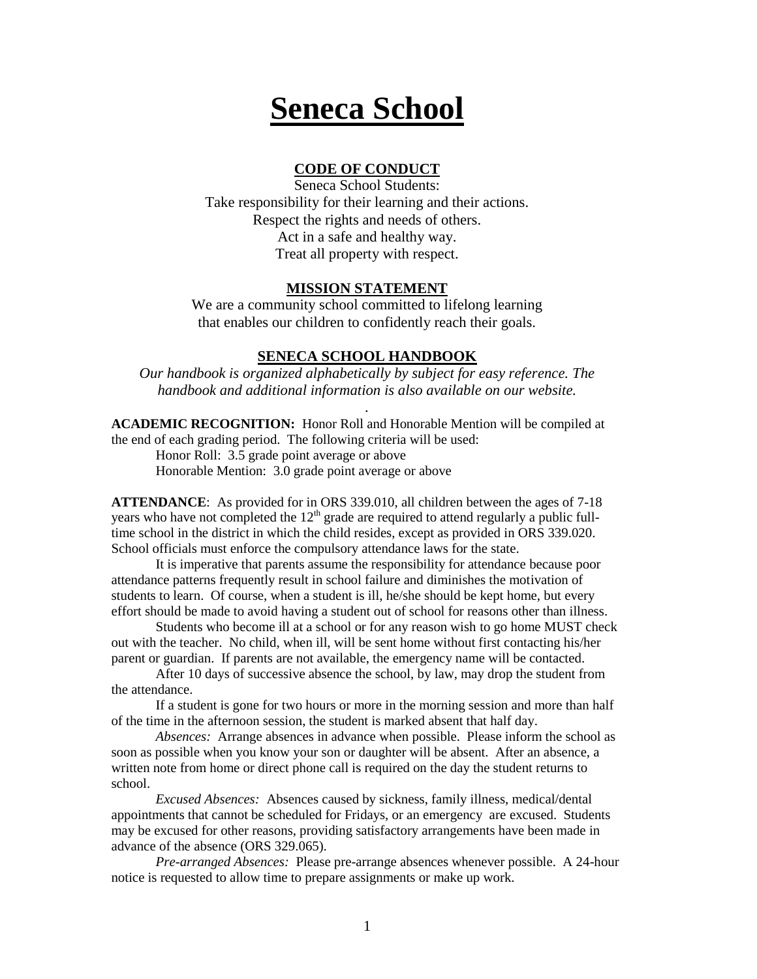# **Seneca School**

## **CODE OF CONDUCT**

Seneca School Students: Take responsibility for their learning and their actions. Respect the rights and needs of others. Act in a safe and healthy way. Treat all property with respect.

#### **MISSION STATEMENT**

We are a community school committed to lifelong learning that enables our children to confidently reach their goals.

#### **SENECA SCHOOL HANDBOOK**

*Our handbook is organized alphabetically by subject for easy reference. The handbook and additional information is also available on our website.*

*.*

**ACADEMIC RECOGNITION:** Honor Roll and Honorable Mention will be compiled at the end of each grading period. The following criteria will be used:

Honor Roll: 3.5 grade point average or above Honorable Mention: 3.0 grade point average or above

**ATTENDANCE**: As provided for in ORS 339.010, all children between the ages of 7-18 years who have not completed the  $12<sup>th</sup>$  grade are required to attend regularly a public fulltime school in the district in which the child resides, except as provided in ORS 339.020. School officials must enforce the compulsory attendance laws for the state.

It is imperative that parents assume the responsibility for attendance because poor attendance patterns frequently result in school failure and diminishes the motivation of students to learn. Of course, when a student is ill, he/she should be kept home, but every effort should be made to avoid having a student out of school for reasons other than illness.

Students who become ill at a school or for any reason wish to go home MUST check out with the teacher. No child, when ill, will be sent home without first contacting his/her parent or guardian. If parents are not available, the emergency name will be contacted.

After 10 days of successive absence the school, by law, may drop the student from the attendance.

If a student is gone for two hours or more in the morning session and more than half of the time in the afternoon session, the student is marked absent that half day.

*Absences:* Arrange absences in advance when possible. Please inform the school as soon as possible when you know your son or daughter will be absent. After an absence, a written note from home or direct phone call is required on the day the student returns to school.

*Excused Absences:* Absences caused by sickness, family illness, medical/dental appointments that cannot be scheduled for Fridays, or an emergency are excused. Students may be excused for other reasons, providing satisfactory arrangements have been made in advance of the absence (ORS 329.065).

*Pre-arranged Absences:* Please pre-arrange absences whenever possible. A 24-hour notice is requested to allow time to prepare assignments or make up work.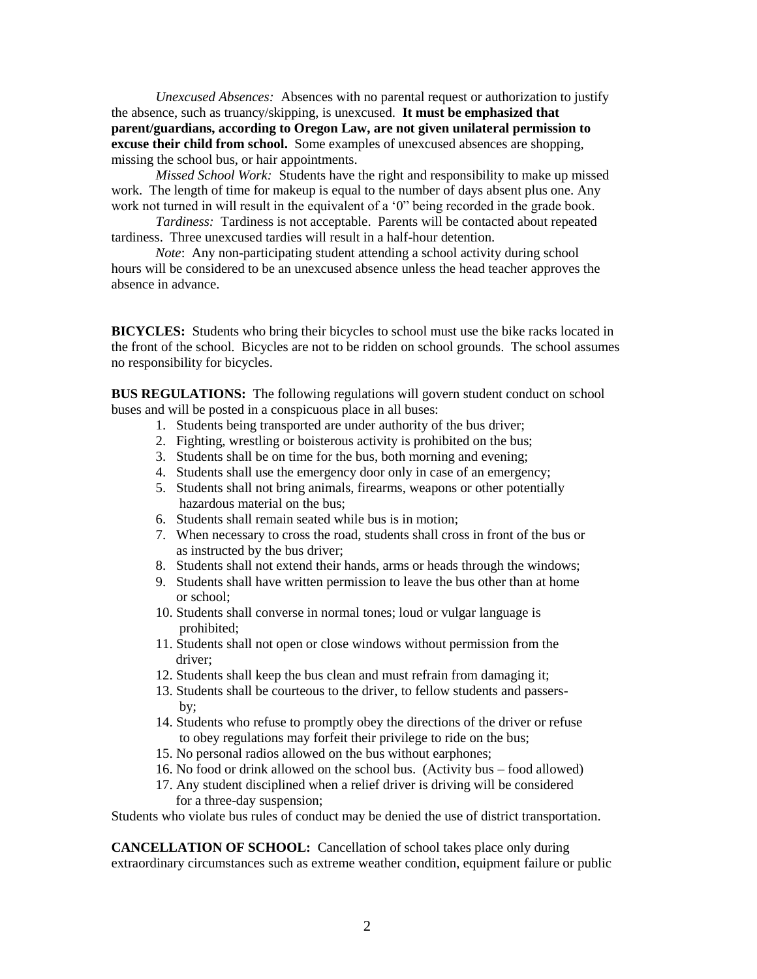*Unexcused Absences:* Absences with no parental request or authorization to justify the absence, such as truancy/skipping, is unexcused. **It must be emphasized that parent/guardians, according to Oregon Law, are not given unilateral permission to excuse their child from school.** Some examples of unexcused absences are shopping, missing the school bus, or hair appointments.

*Missed School Work:* Students have the right and responsibility to make up missed work. The length of time for makeup is equal to the number of days absent plus one. Any work not turned in will result in the equivalent of a  $0$ " being recorded in the grade book.

*Tardiness:* Tardiness is not acceptable. Parents will be contacted about repeated tardiness. Three unexcused tardies will result in a half-hour detention.

*Note*: Any non-participating student attending a school activity during school hours will be considered to be an unexcused absence unless the head teacher approves the absence in advance.

**BICYCLES:** Students who bring their bicycles to school must use the bike racks located in the front of the school. Bicycles are not to be ridden on school grounds. The school assumes no responsibility for bicycles.

**BUS REGULATIONS:** The following regulations will govern student conduct on school buses and will be posted in a conspicuous place in all buses:

- 1. Students being transported are under authority of the bus driver;
- 2. Fighting, wrestling or boisterous activity is prohibited on the bus;
- 3. Students shall be on time for the bus, both morning and evening;
- 4. Students shall use the emergency door only in case of an emergency;
- 5. Students shall not bring animals, firearms, weapons or other potentially hazardous material on the bus;
- 6. Students shall remain seated while bus is in motion;
- 7. When necessary to cross the road, students shall cross in front of the bus or as instructed by the bus driver;
- 8. Students shall not extend their hands, arms or heads through the windows;
- 9. Students shall have written permission to leave the bus other than at home or school;
- 10. Students shall converse in normal tones; loud or vulgar language is prohibited;
- 11. Students shall not open or close windows without permission from the driver;
- 12. Students shall keep the bus clean and must refrain from damaging it;
- 13. Students shall be courteous to the driver, to fellow students and passers by;
- 14. Students who refuse to promptly obey the directions of the driver or refuse to obey regulations may forfeit their privilege to ride on the bus;
- 15. No personal radios allowed on the bus without earphones;
- 16. No food or drink allowed on the school bus. (Activity bus food allowed)
- 17. Any student disciplined when a relief driver is driving will be considered for a three-day suspension;

Students who violate bus rules of conduct may be denied the use of district transportation.

**CANCELLATION OF SCHOOL:** Cancellation of school takes place only during extraordinary circumstances such as extreme weather condition, equipment failure or public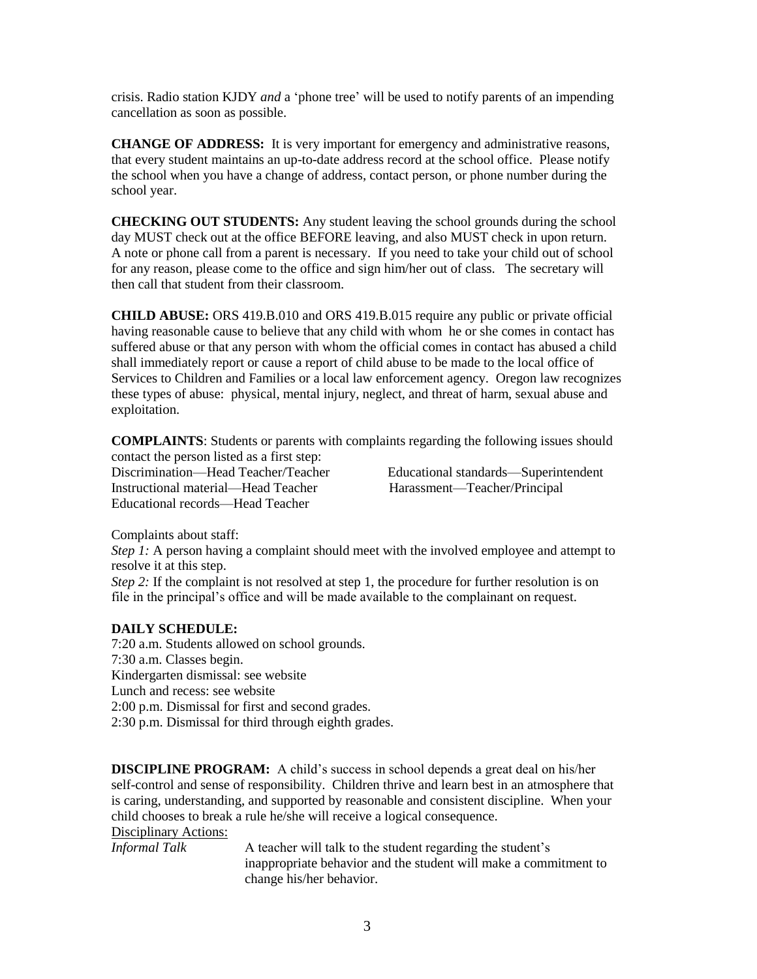crisis. Radio station KJDY *and* a 'phone tree' will be used to notify parents of an impending cancellation as soon as possible.

**CHANGE OF ADDRESS:** It is very important for emergency and administrative reasons, that every student maintains an up-to-date address record at the school office. Please notify the school when you have a change of address, contact person, or phone number during the school year.

**CHECKING OUT STUDENTS:** Any student leaving the school grounds during the school day MUST check out at the office BEFORE leaving, and also MUST check in upon return. A note or phone call from a parent is necessary. If you need to take your child out of school for any reason, please come to the office and sign him/her out of class. The secretary will then call that student from their classroom.

**CHILD ABUSE:** ORS 419.B.010 and ORS 419.B.015 require any public or private official having reasonable cause to believe that any child with whom he or she comes in contact has suffered abuse or that any person with whom the official comes in contact has abused a child shall immediately report or cause a report of child abuse to be made to the local office of Services to Children and Families or a local law enforcement agency. Oregon law recognizes these types of abuse: physical, mental injury, neglect, and threat of harm, sexual abuse and exploitation.

**COMPLAINTS**: Students or parents with complaints regarding the following issues should contact the person listed as a first step:

Instructional material—Head Teacher Harassment—Teacher/Principal Educational records—Head Teacher

Discrimination—Head Teacher/Teacher Educational standards—Superintendent

Complaints about staff:

*Step 1:* A person having a complaint should meet with the involved employee and attempt to resolve it at this step.

*Step 2:* If the complaint is not resolved at step 1, the procedure for further resolution is on file in the principal's office and will be made available to the complainant on request.

#### **DAILY SCHEDULE:**

7:20 a.m. Students allowed on school grounds. 7:30 a.m. Classes begin. Kindergarten dismissal: see website Lunch and recess: see website 2:00 p.m. Dismissal for first and second grades. 2:30 p.m. Dismissal for third through eighth grades.

**DISCIPLINE PROGRAM:** A child's success in school depends a great deal on his/her self-control and sense of responsibility. Children thrive and learn best in an atmosphere that is caring, understanding, and supported by reasonable and consistent discipline. When your child chooses to break a rule he/she will receive a logical consequence.

# Disciplinary Actions:

*Informal Talk* A teacher will talk to the student regarding the student's inappropriate behavior and the student will make a commitment to change his/her behavior.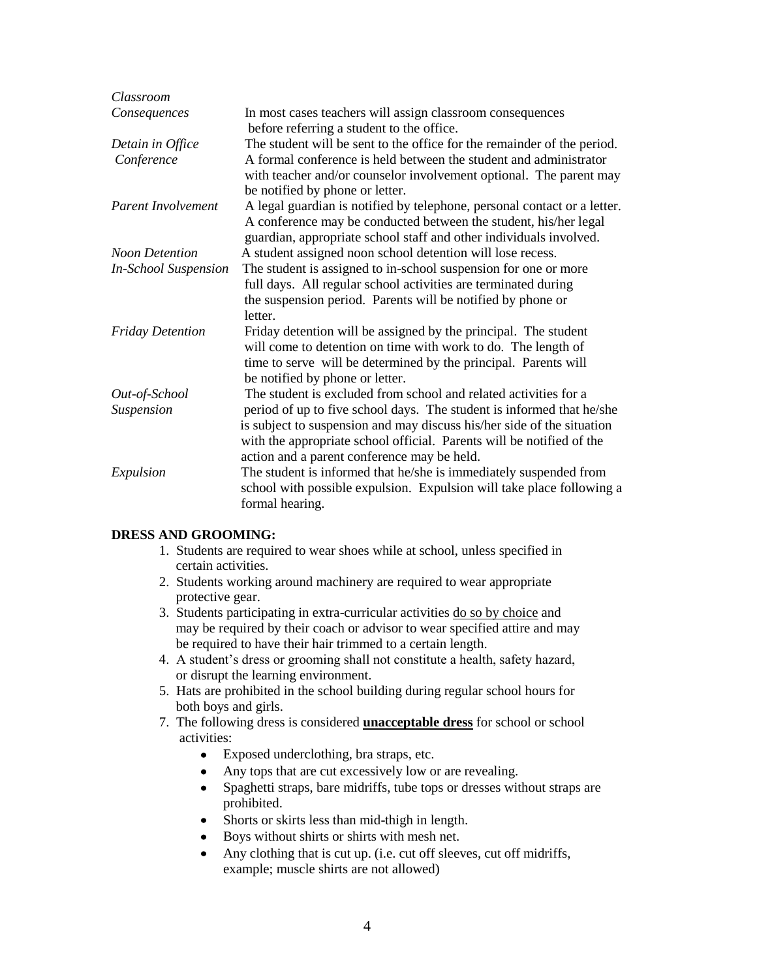| Classroom                   |                                                                                                                                                                            |
|-----------------------------|----------------------------------------------------------------------------------------------------------------------------------------------------------------------------|
| Consequences                | In most cases teachers will assign classroom consequences                                                                                                                  |
|                             | before referring a student to the office.                                                                                                                                  |
| Detain in Office            | The student will be sent to the office for the remainder of the period.                                                                                                    |
| Conference                  | A formal conference is held between the student and administrator<br>with teacher and/or counselor involvement optional. The parent may<br>be notified by phone or letter. |
| Parent Involvement          | A legal guardian is notified by telephone, personal contact or a letter.                                                                                                   |
|                             | A conference may be conducted between the student, his/her legal<br>guardian, appropriate school staff and other individuals involved.                                     |
| <b>Noon Detention</b>       | A student assigned noon school detention will lose recess.                                                                                                                 |
| <b>In-School Suspension</b> | The student is assigned to in-school suspension for one or more                                                                                                            |
|                             | full days. All regular school activities are terminated during                                                                                                             |
|                             | the suspension period. Parents will be notified by phone or                                                                                                                |
|                             | letter.                                                                                                                                                                    |
| <b>Friday Detention</b>     | Friday detention will be assigned by the principal. The student                                                                                                            |
|                             | will come to detention on time with work to do. The length of                                                                                                              |
|                             | time to serve will be determined by the principal. Parents will                                                                                                            |
|                             | be notified by phone or letter.                                                                                                                                            |
| Out-of-School               | The student is excluded from school and related activities for a                                                                                                           |
| Suspension                  | period of up to five school days. The student is informed that he/she                                                                                                      |
|                             | is subject to suspension and may discuss his/her side of the situation                                                                                                     |
|                             | with the appropriate school official. Parents will be notified of the                                                                                                      |
|                             | action and a parent conference may be held.                                                                                                                                |
| Expulsion                   | The student is informed that he/she is immediately suspended from                                                                                                          |
|                             | school with possible expulsion. Expulsion will take place following a                                                                                                      |
|                             | formal hearing.                                                                                                                                                            |

#### **DRESS AND GROOMING:**

- 1. Students are required to wear shoes while at school, unless specified in certain activities.
- 2. Students working around machinery are required to wear appropriate protective gear.
- 3. Students participating in extra-curricular activities do so by choice and may be required by their coach or advisor to wear specified attire and may be required to have their hair trimmed to a certain length.
- 4. A student's dress or grooming shall not constitute a health, safety hazard, or disrupt the learning environment.
- 5. Hats are prohibited in the school building during regular school hours for both boys and girls.
- 7. The following dress is considered **unacceptable dress** for school or school activities:
	- $\bullet$ Exposed underclothing, bra straps, etc.
	- Any tops that are cut excessively low or are revealing.  $\bullet$
	- $\bullet$ Spaghetti straps, bare midriffs, tube tops or dresses without straps are prohibited.
	- Shorts or skirts less than mid-thigh in length.  $\bullet$
	- Boys without shirts or shirts with mesh net.  $\bullet$
	- Any clothing that is cut up. (i.e. cut off sleeves, cut off midriffs,  $\bullet$ example; muscle shirts are not allowed)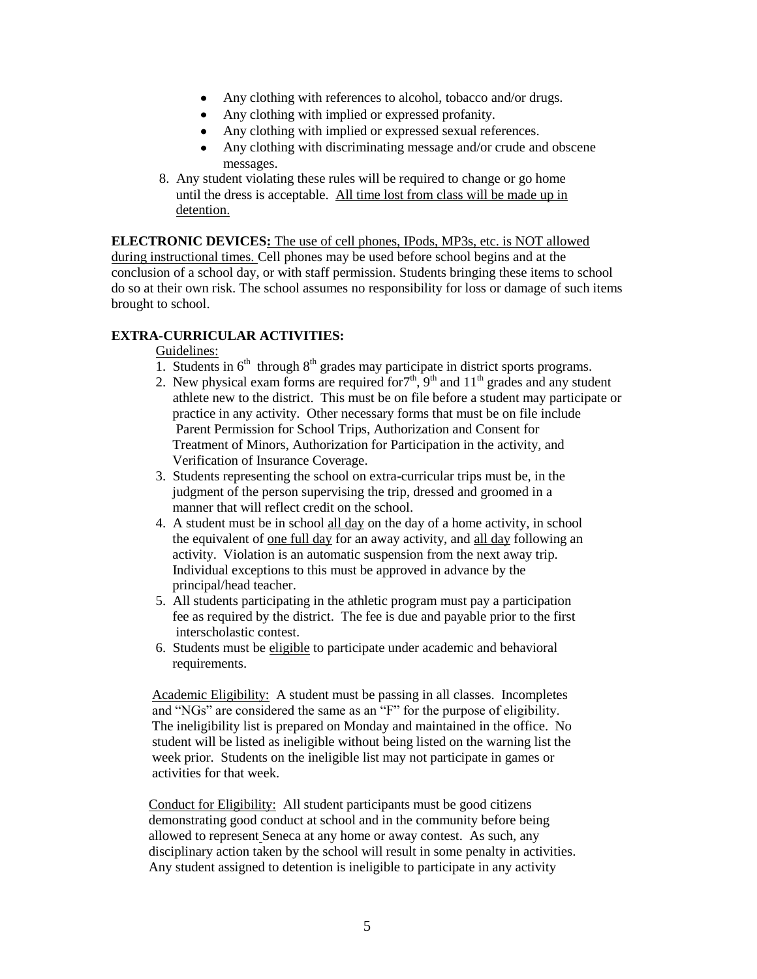- Any clothing with references to alcohol, tobacco and/or drugs.
- Any clothing with implied or expressed profanity.
- Any clothing with implied or expressed sexual references.
- Any clothing with discriminating message and/or crude and obscene messages.
- 8. Any student violating these rules will be required to change or go home until the dress is acceptable. All time lost from class will be made up in detention.

**ELECTRONIC DEVICES:** The use of cell phones, IPods, MP3s, etc. is NOT allowed during instructional times. Cell phones may be used before school begins and at the conclusion of a school day, or with staff permission. Students bringing these items to school do so at their own risk. The school assumes no responsibility for loss or damage of such items brought to school.

# **EXTRA-CURRICULAR ACTIVITIES:**

### Guidelines:

- 1. Students in  $6<sup>th</sup>$  through  $8<sup>th</sup>$  grades may participate in district sports programs.
- 2. New physical exam forms are required for  $7<sup>th</sup>$ ,  $9<sup>th</sup>$  and  $11<sup>th</sup>$  grades and any student athlete new to the district. This must be on file before a student may participate or practice in any activity. Other necessary forms that must be on file include Parent Permission for School Trips, Authorization and Consent for Treatment of Minors, Authorization for Participation in the activity, and Verification of Insurance Coverage.
- 3. Students representing the school on extra-curricular trips must be, in the judgment of the person supervising the trip, dressed and groomed in a manner that will reflect credit on the school.
- 4. A student must be in school all day on the day of a home activity, in school the equivalent of one full day for an away activity, and all day following an activity. Violation is an automatic suspension from the next away trip. Individual exceptions to this must be approved in advance by the principal/head teacher.
- 5. All students participating in the athletic program must pay a participation fee as required by the district. The fee is due and payable prior to the first interscholastic contest.
- 6. Students must be eligible to participate under academic and behavioral requirements.

 Academic Eligibility: A student must be passing in all classes. Incompletes and "NGs" are considered the same as an "F" for the purpose of eligibility. The ineligibility list is prepared on Monday and maintained in the office. No student will be listed as ineligible without being listed on the warning list the week prior. Students on the ineligible list may not participate in games or activities for that week.

 Conduct for Eligibility: All student participants must be good citizens demonstrating good conduct at school and in the community before being allowed to represent Seneca at any home or away contest. As such, any disciplinary action taken by the school will result in some penalty in activities. Any student assigned to detention is ineligible to participate in any activity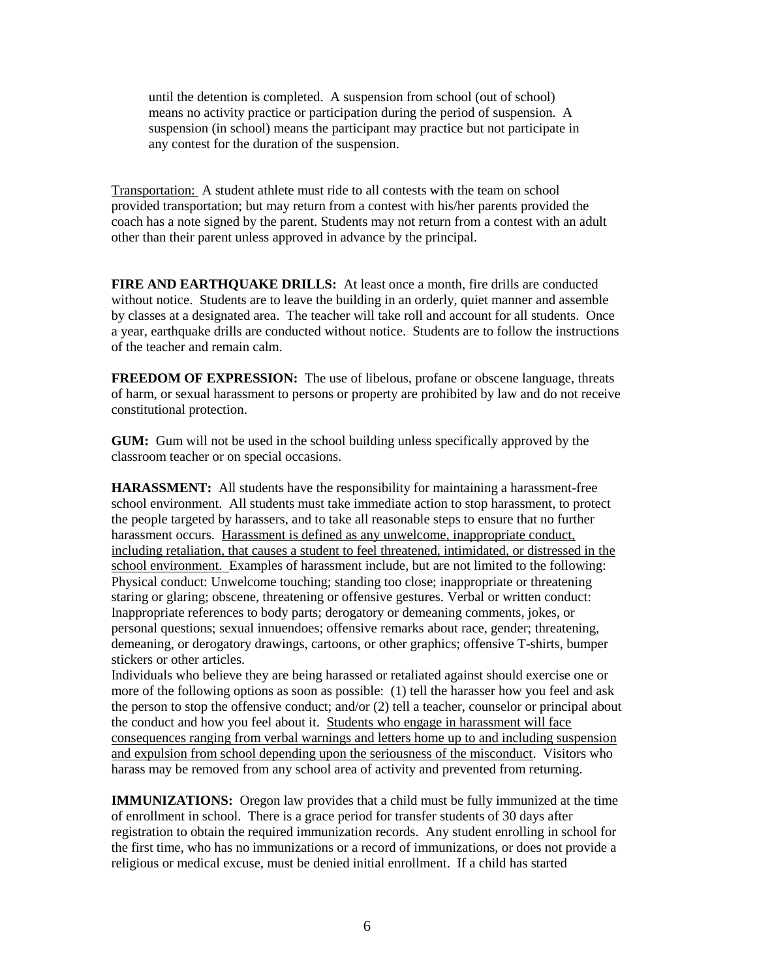until the detention is completed. A suspension from school (out of school) means no activity practice or participation during the period of suspension. A suspension (in school) means the participant may practice but not participate in any contest for the duration of the suspension.

Transportation: A student athlete must ride to all contests with the team on school provided transportation; but may return from a contest with his/her parents provided the coach has a note signed by the parent. Students may not return from a contest with an adult other than their parent unless approved in advance by the principal.

**FIRE AND EARTHQUAKE DRILLS:** At least once a month, fire drills are conducted without notice. Students are to leave the building in an orderly, quiet manner and assemble by classes at a designated area. The teacher will take roll and account for all students. Once a year, earthquake drills are conducted without notice. Students are to follow the instructions of the teacher and remain calm.

**FREEDOM OF EXPRESSION:** The use of libelous, profane or obscene language, threats of harm, or sexual harassment to persons or property are prohibited by law and do not receive constitutional protection.

**GUM:** Gum will not be used in the school building unless specifically approved by the classroom teacher or on special occasions.

**HARASSMENT:** All students have the responsibility for maintaining a harassment-free school environment. All students must take immediate action to stop harassment, to protect the people targeted by harassers, and to take all reasonable steps to ensure that no further harassment occurs. Harassment is defined as any unwelcome, inappropriate conduct, including retaliation, that causes a student to feel threatened, intimidated, or distressed in the school environment. Examples of harassment include, but are not limited to the following: Physical conduct: Unwelcome touching; standing too close; inappropriate or threatening staring or glaring; obscene, threatening or offensive gestures. Verbal or written conduct: Inappropriate references to body parts; derogatory or demeaning comments, jokes, or personal questions; sexual innuendoes; offensive remarks about race, gender; threatening, demeaning, or derogatory drawings, cartoons, or other graphics; offensive T-shirts, bumper stickers or other articles.

Individuals who believe they are being harassed or retaliated against should exercise one or more of the following options as soon as possible: (1) tell the harasser how you feel and ask the person to stop the offensive conduct; and/or (2) tell a teacher, counselor or principal about the conduct and how you feel about it. Students who engage in harassment will face consequences ranging from verbal warnings and letters home up to and including suspension and expulsion from school depending upon the seriousness of the misconduct. Visitors who harass may be removed from any school area of activity and prevented from returning.

**IMMUNIZATIONS:** Oregon law provides that a child must be fully immunized at the time of enrollment in school. There is a grace period for transfer students of 30 days after registration to obtain the required immunization records. Any student enrolling in school for the first time, who has no immunizations or a record of immunizations, or does not provide a religious or medical excuse, must be denied initial enrollment. If a child has started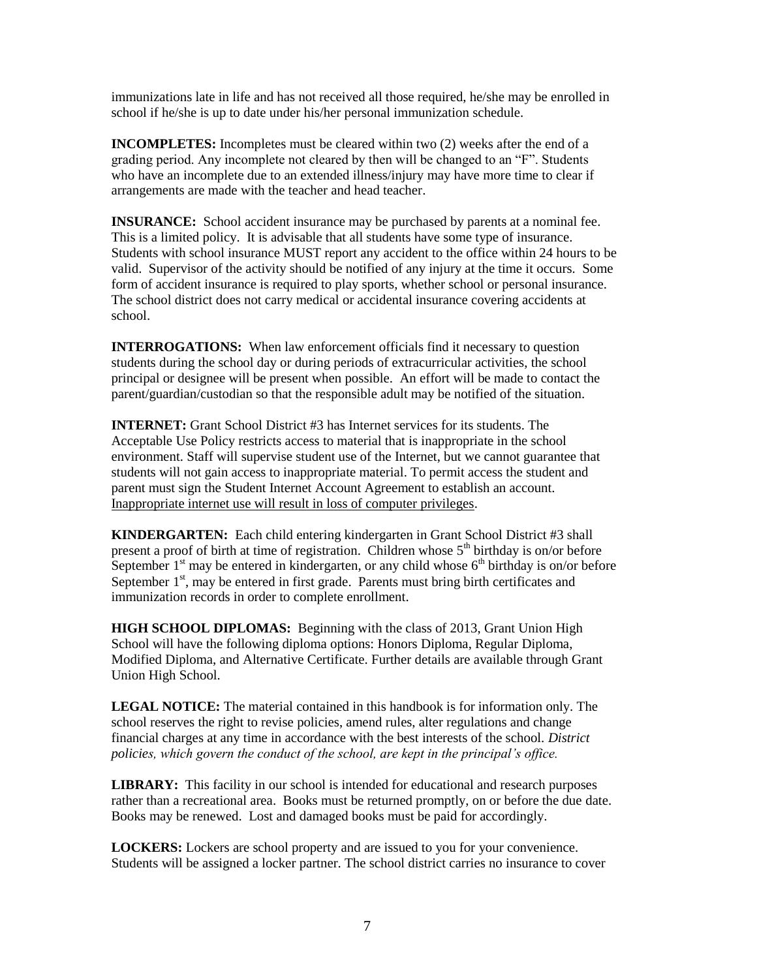immunizations late in life and has not received all those required, he/she may be enrolled in school if he/she is up to date under his/her personal immunization schedule.

**INCOMPLETES:** Incompletes must be cleared within two (2) weeks after the end of a grading period. Any incomplete not cleared by then will be changed to an "F". Students who have an incomplete due to an extended illness/injury may have more time to clear if arrangements are made with the teacher and head teacher.

**INSURANCE:** School accident insurance may be purchased by parents at a nominal fee. This is a limited policy. It is advisable that all students have some type of insurance. Students with school insurance MUST report any accident to the office within 24 hours to be valid. Supervisor of the activity should be notified of any injury at the time it occurs. Some form of accident insurance is required to play sports, whether school or personal insurance. The school district does not carry medical or accidental insurance covering accidents at school.

**INTERROGATIONS:** When law enforcement officials find it necessary to question students during the school day or during periods of extracurricular activities, the school principal or designee will be present when possible. An effort will be made to contact the parent/guardian/custodian so that the responsible adult may be notified of the situation.

**INTERNET:** Grant School District #3 has Internet services for its students. The Acceptable Use Policy restricts access to material that is inappropriate in the school environment. Staff will supervise student use of the Internet, but we cannot guarantee that students will not gain access to inappropriate material. To permit access the student and parent must sign the Student Internet Account Agreement to establish an account. Inappropriate internet use will result in loss of computer privileges.

**KINDERGARTEN:** Each child entering kindergarten in Grant School District #3 shall present a proof of birth at time of registration. Children whose  $5<sup>th</sup>$  birthday is on/or before September  $1<sup>st</sup>$  may be entered in kindergarten, or any child whose  $6<sup>th</sup>$  birthday is on/or before September  $1<sup>st</sup>$ , may be entered in first grade. Parents must bring birth certificates and immunization records in order to complete enrollment.

**HIGH SCHOOL DIPLOMAS:** Beginning with the class of 2013, Grant Union High School will have the following diploma options: Honors Diploma, Regular Diploma, Modified Diploma, and Alternative Certificate. Further details are available through Grant Union High School.

**LEGAL NOTICE:** The material contained in this handbook is for information only. The school reserves the right to revise policies, amend rules, alter regulations and change financial charges at any time in accordance with the best interests of the school. *District policies, which govern the conduct of the school, are kept in the principal's office.*

**LIBRARY:** This facility in our school is intended for educational and research purposes rather than a recreational area. Books must be returned promptly, on or before the due date. Books may be renewed. Lost and damaged books must be paid for accordingly.

**LOCKERS:** Lockers are school property and are issued to you for your convenience. Students will be assigned a locker partner. The school district carries no insurance to cover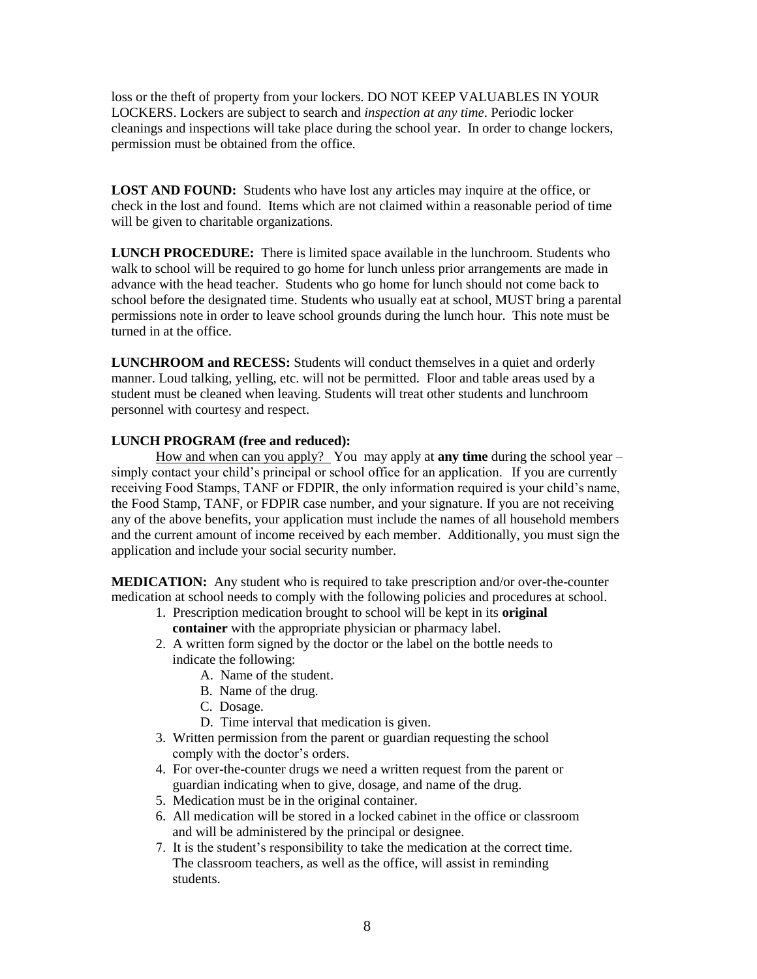loss or the theft of property from your lockers. DO NOT KEEP VALUABLES IN YOUR LOCKERS. Lockers are subject to search and *inspection at any time*. Periodic locker cleanings and inspections will take place during the school year. In order to change lockers, permission must be obtained from the office.

**LOST AND FOUND:** Students who have lost any articles may inquire at the office, or check in the lost and found. Items which are not claimed within a reasonable period of time will be given to charitable organizations.

**LUNCH PROCEDURE:** There is limited space available in the lunchroom. Students who walk to school will be required to go home for lunch unless prior arrangements are made in advance with the head teacher. Students who go home for lunch should not come back to school before the designated time. Students who usually eat at school, MUST bring a parental permissions note in order to leave school grounds during the lunch hour. This note must be turned in at the office.

**LUNCHROOM and RECESS:** Students will conduct themselves in a quiet and orderly manner. Loud talking, yelling, etc. will not be permitted. Floor and table areas used by a student must be cleaned when leaving. Students will treat other students and lunchroom personnel with courtesy and respect.

#### **LUNCH PROGRAM (free and reduced):**

How and when can you apply? You may apply at **any time** during the school year – simply contact your child's principal or school office for an application. If you are currently receiving Food Stamps, TANF or FDPIR, the only information required is your child's name, the Food Stamp, TANF, or FDPIR case number, and your signature. If you are not receiving any of the above benefits, your application must include the names of all household members and the current amount of income received by each member. Additionally, you must sign the application and include your social security number.

**MEDICATION:** Any student who is required to take prescription and/or over-the-counter medication at school needs to comply with the following policies and procedures at school.

- 1. Prescription medication brought to school will be kept in its **original container** with the appropriate physician or pharmacy label.
- 2. A written form signed by the doctor or the label on the bottle needs to indicate the following:
	- A. Name of the student.
	- B. Name of the drug.
	- C. Dosage.
	- D. Time interval that medication is given.
- 3. Written permission from the parent or guardian requesting the school comply with the doctor's orders.
- 4. For over-the-counter drugs we need a written request from the parent or guardian indicating when to give, dosage, and name of the drug.
- 5. Medication must be in the original container.
- 6. All medication will be stored in a locked cabinet in the office or classroom and will be administered by the principal or designee.
- 7. It is the student's responsibility to take the medication at the correct time. The classroom teachers, as well as the office, will assist in reminding students.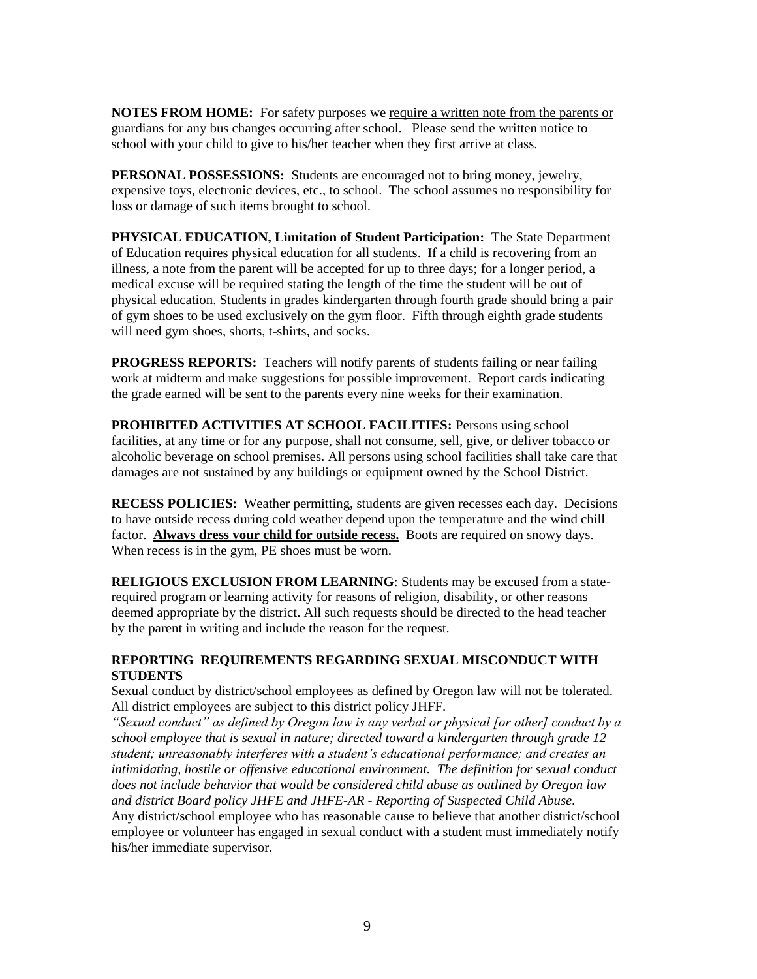**NOTES FROM HOME:** For safety purposes we require a written note from the parents or guardians for any bus changes occurring after school. Please send the written notice to school with your child to give to his/her teacher when they first arrive at class.

**PERSONAL POSSESSIONS:** Students are encouraged not to bring money, jewelry, expensive toys, electronic devices, etc., to school. The school assumes no responsibility for loss or damage of such items brought to school.

**PHYSICAL EDUCATION, Limitation of Student Participation:** The State Department of Education requires physical education for all students. If a child is recovering from an illness, a note from the parent will be accepted for up to three days; for a longer period, a medical excuse will be required stating the length of the time the student will be out of physical education. Students in grades kindergarten through fourth grade should bring a pair of gym shoes to be used exclusively on the gym floor. Fifth through eighth grade students will need gym shoes, shorts, t-shirts, and socks.

**PROGRESS REPORTS:** Teachers will notify parents of students failing or near failing work at midterm and make suggestions for possible improvement. Report cards indicating the grade earned will be sent to the parents every nine weeks for their examination.

**PROHIBITED ACTIVITIES AT SCHOOL FACILITIES:** Persons using school facilities, at any time or for any purpose, shall not consume, sell, give, or deliver tobacco or alcoholic beverage on school premises. All persons using school facilities shall take care that damages are not sustained by any buildings or equipment owned by the School District.

**RECESS POLICIES:** Weather permitting, students are given recesses each day. Decisions to have outside recess during cold weather depend upon the temperature and the wind chill factor. **Always dress your child for outside recess.** Boots are required on snowy days. When recess is in the gym, PE shoes must be worn.

**RELIGIOUS EXCLUSION FROM LEARNING**: Students may be excused from a staterequired program or learning activity for reasons of religion, disability, or other reasons deemed appropriate by the district. All such requests should be directed to the head teacher by the parent in writing and include the reason for the request.

# **REPORTING REQUIREMENTS REGARDING SEXUAL MISCONDUCT WITH STUDENTS**

Sexual conduct by district/school employees as defined by Oregon law will not be tolerated. All district employees are subject to this district policy JHFF.

*"Sexual conduct" as defined by Oregon law is any verbal or physical [or other] conduct by a school employee that is sexual in nature; directed toward a kindergarten through grade 12 student; unreasonably interferes with a student's educational performance; and creates an intimidating, hostile or offensive educational environment. The definition for sexual conduct does not include behavior that would be considered child abuse as outlined by Oregon law and district Board policy JHFE and JHFE-AR - Reporting of Suspected Child Abuse.* Any district/school employee who has reasonable cause to believe that another district/school employee or volunteer has engaged in sexual conduct with a student must immediately notify his/her immediate supervisor.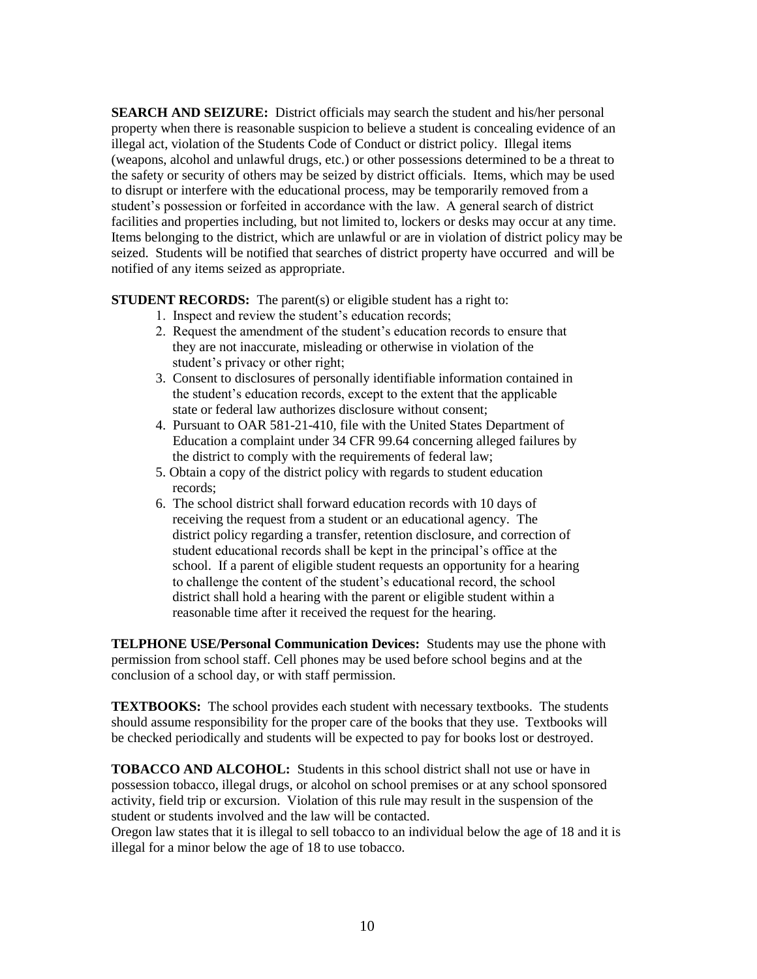**SEARCH AND SEIZURE:** District officials may search the student and his/her personal property when there is reasonable suspicion to believe a student is concealing evidence of an illegal act, violation of the Students Code of Conduct or district policy. Illegal items (weapons, alcohol and unlawful drugs, etc.) or other possessions determined to be a threat to the safety or security of others may be seized by district officials. Items, which may be used to disrupt or interfere with the educational process, may be temporarily removed from a student's possession or forfeited in accordance with the law. A general search of district facilities and properties including, but not limited to, lockers or desks may occur at any time. Items belonging to the district, which are unlawful or are in violation of district policy may be seized. Students will be notified that searches of district property have occurred and will be notified of any items seized as appropriate.

**STUDENT RECORDS:** The parent(s) or eligible student has a right to:

- 1. Inspect and review the student's education records;
- 2. Request the amendment of the student's education records to ensure that they are not inaccurate, misleading or otherwise in violation of the student's privacy or other right;
- 3. Consent to disclosures of personally identifiable information contained in the student's education records, except to the extent that the applicable state or federal law authorizes disclosure without consent;
- 4. Pursuant to OAR 581-21-410, file with the United States Department of Education a complaint under 34 CFR 99.64 concerning alleged failures by the district to comply with the requirements of federal law;
- 5. Obtain a copy of the district policy with regards to student education records;
- 6. The school district shall forward education records with 10 days of receiving the request from a student or an educational agency. The district policy regarding a transfer, retention disclosure, and correction of student educational records shall be kept in the principal's office at the school. If a parent of eligible student requests an opportunity for a hearing to challenge the content of the student's educational record, the school district shall hold a hearing with the parent or eligible student within a reasonable time after it received the request for the hearing.

**TELPHONE USE/Personal Communication Devices:** Students may use the phone with permission from school staff. Cell phones may be used before school begins and at the conclusion of a school day, or with staff permission.

**TEXTBOOKS:** The school provides each student with necessary textbooks. The students should assume responsibility for the proper care of the books that they use. Textbooks will be checked periodically and students will be expected to pay for books lost or destroyed.

**TOBACCO AND ALCOHOL:** Students in this school district shall not use or have in possession tobacco, illegal drugs, or alcohol on school premises or at any school sponsored activity, field trip or excursion. Violation of this rule may result in the suspension of the student or students involved and the law will be contacted.

Oregon law states that it is illegal to sell tobacco to an individual below the age of 18 and it is illegal for a minor below the age of 18 to use tobacco.